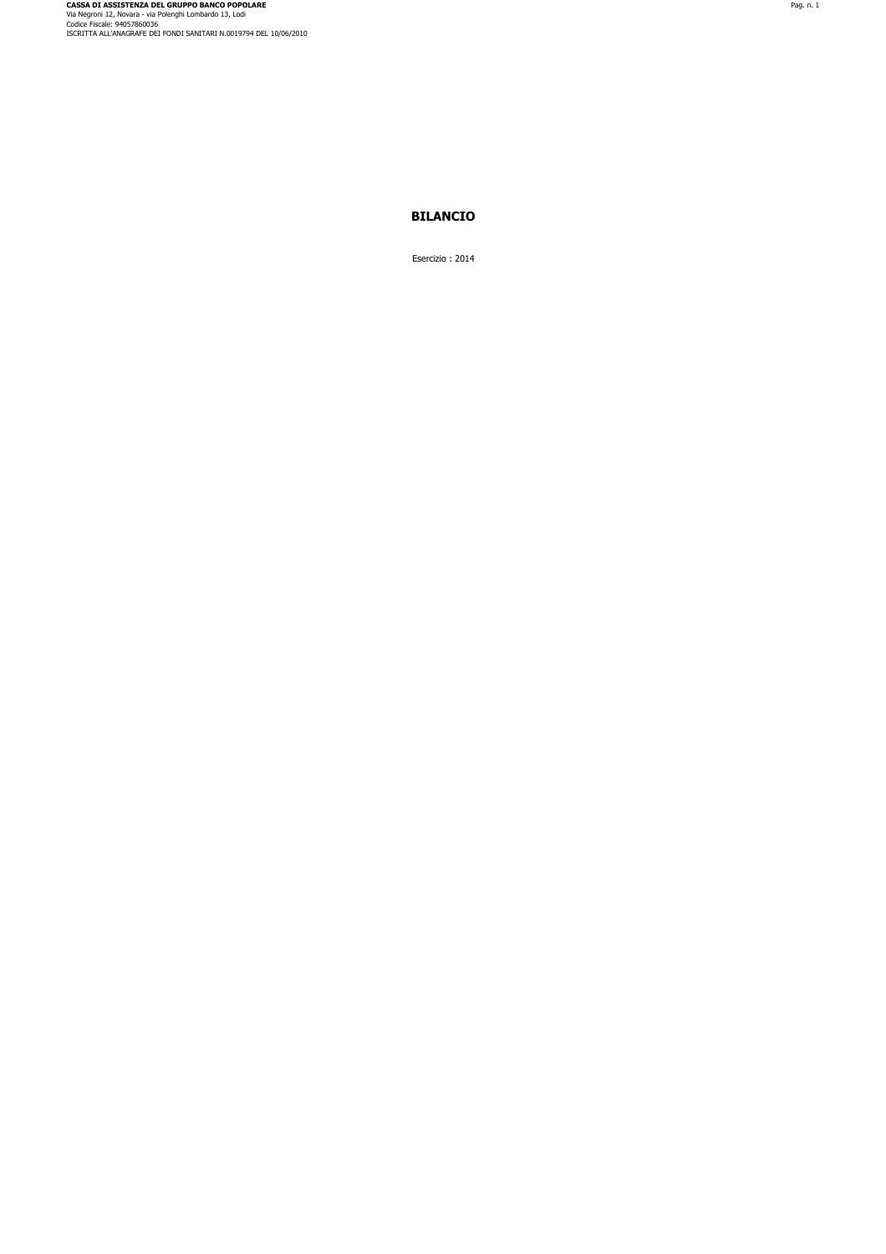## **BILANCIO**

Esercizio : 2014